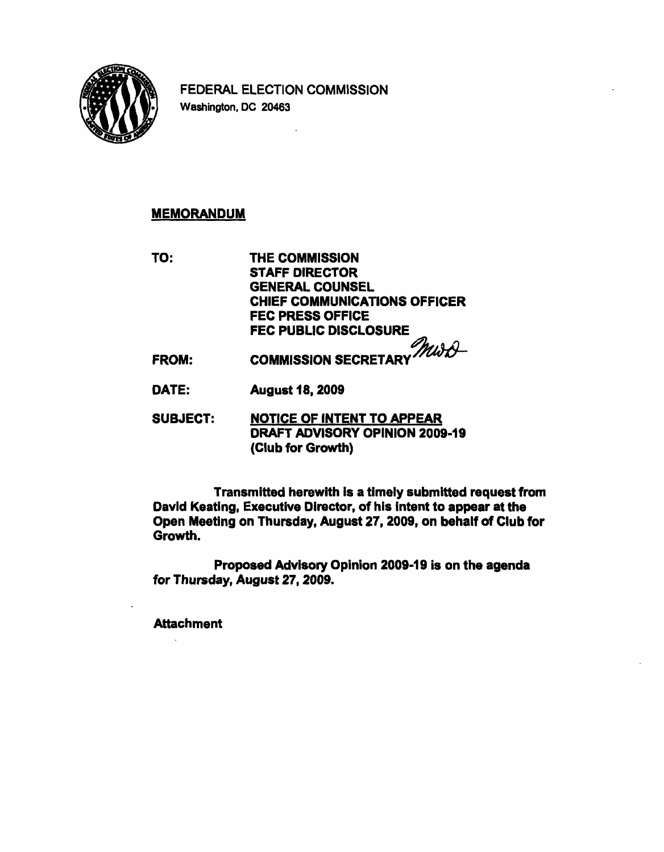

FEDERAL ELECTION COMMISSION Washington, DC 20463

## MEMORANDUM

TO: THE COMMISSION STAFF DIRECTOR GENERAL COUNSEL CHIEF COMMUNICATIONS OFFICER FEC PRESS OFFICE FEC PUBLIC DISCLOSURE

- FROM: COMMISSION SECRETARY MUSE
- DATE: August 18, 2009
- SUBJECT: NOTICE OF INTENT TO APPEAR DRAFT ADVISORY OPINION 2009-19 (Club for Growth)

Transmitted herewith is a timely submitted request from David Keating, Executive Director, of his intent to appear at the Open Meeting on Thursday, August 27,2009, on behalf of Club for Growth.

Proposed Advisory Opinion 2009-19 is on the agenda for Thursday, August 27, 2009.

**Attachment**